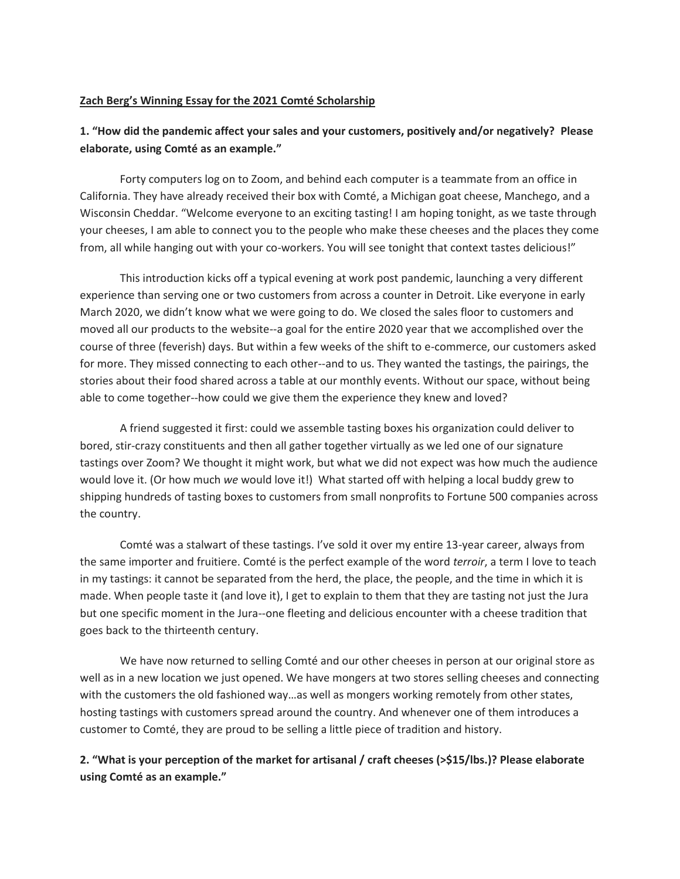## **Zach Berg's Winning Essay for the 2021 Comté Scholarship**

## **1. "How did the pandemic affect your sales and your customers, positively and/or negatively? Please elaborate, using Comté as an example."**

Forty computers log on to Zoom, and behind each computer is a teammate from an office in California. They have already received their box with Comté, a Michigan goat cheese, Manchego, and a Wisconsin Cheddar. "Welcome everyone to an exciting tasting! I am hoping tonight, as we taste through your cheeses, I am able to connect you to the people who make these cheeses and the places they come from, all while hanging out with your co-workers. You will see tonight that context tastes delicious!"

This introduction kicks off a typical evening at work post pandemic, launching a very different experience than serving one or two customers from across a counter in Detroit. Like everyone in early March 2020, we didn't know what we were going to do. We closed the sales floor to customers and moved all our products to the website--a goal for the entire 2020 year that we accomplished over the course of three (feverish) days. But within a few weeks of the shift to e-commerce, our customers asked for more. They missed connecting to each other--and to us. They wanted the tastings, the pairings, the stories about their food shared across a table at our monthly events. Without our space, without being able to come together--how could we give them the experience they knew and loved?

A friend suggested it first: could we assemble tasting boxes his organization could deliver to bored, stir-crazy constituents and then all gather together virtually as we led one of our signature tastings over Zoom? We thought it might work, but what we did not expect was how much the audience would love it. (Or how much *we* would love it!) What started off with helping a local buddy grew to shipping hundreds of tasting boxes to customers from small nonprofits to Fortune 500 companies across the country.

Comté was a stalwart of these tastings. I've sold it over my entire 13-year career, always from the same importer and fruitiere. Comté is the perfect example of the word *terroir*, a term I love to teach in my tastings: it cannot be separated from the herd, the place, the people, and the time in which it is made. When people taste it (and love it), I get to explain to them that they are tasting not just the Jura but one specific moment in the Jura--one fleeting and delicious encounter with a cheese tradition that goes back to the thirteenth century.

We have now returned to selling Comté and our other cheeses in person at our original store as well as in a new location we just opened. We have mongers at two stores selling cheeses and connecting with the customers the old fashioned way…as well as mongers working remotely from other states, hosting tastings with customers spread around the country. And whenever one of them introduces a customer to Comté, they are proud to be selling a little piece of tradition and history.

**2. "What is your perception of the market for artisanal / craft cheeses (>\$15/lbs.)? Please elaborate using Comté as an example."**